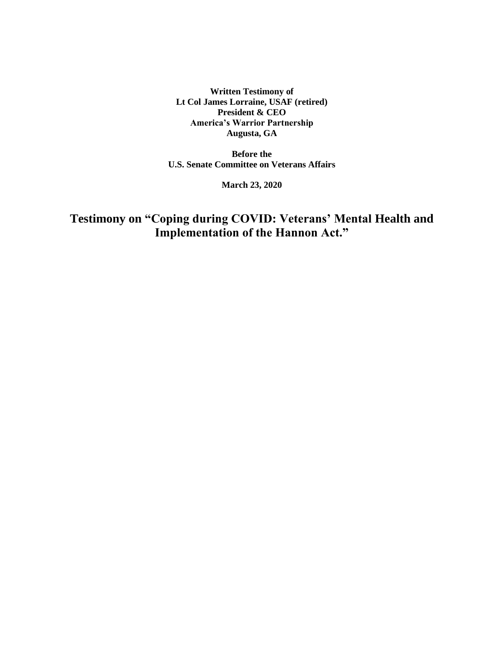**Written Testimony of Lt Col James Lorraine, USAF (retired) President & CEO America's Warrior Partnership Augusta, GA**

**Before the U.S. Senate Committee on Veterans Affairs**

**March 23, 2020**

**Testimony on "Coping during COVID: Veterans' Mental Health and Implementation of the Hannon Act."**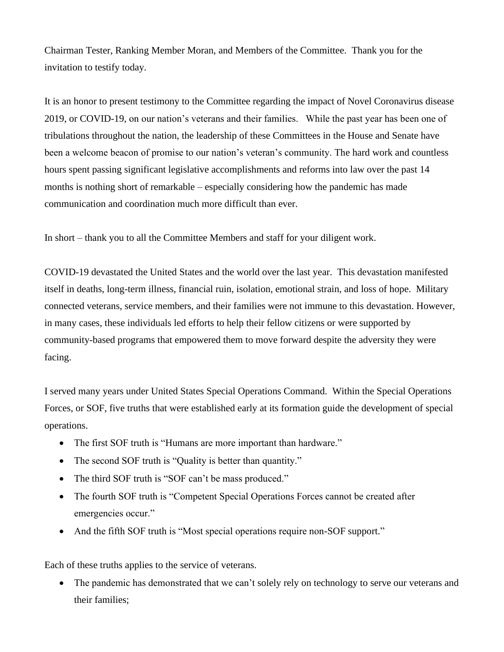Chairman Tester, Ranking Member Moran, and Members of the Committee. Thank you for the invitation to testify today.

It is an honor to present testimony to the Committee regarding the impact of Novel Coronavirus disease 2019, or COVID-19, on our nation's veterans and their families. While the past year has been one of tribulations throughout the nation, the leadership of these Committees in the House and Senate have been a welcome beacon of promise to our nation's veteran's community. The hard work and countless hours spent passing significant legislative accomplishments and reforms into law over the past 14 months is nothing short of remarkable – especially considering how the pandemic has made communication and coordination much more difficult than ever.

In short – thank you to all the Committee Members and staff for your diligent work.

COVID-19 devastated the United States and the world over the last year. This devastation manifested itself in deaths, long-term illness, financial ruin, isolation, emotional strain, and loss of hope. Military connected veterans, service members, and their families were not immune to this devastation. However, in many cases, these individuals led efforts to help their fellow citizens or were supported by community-based programs that empowered them to move forward despite the adversity they were facing.

I served many years under United States Special Operations Command. Within the Special Operations Forces, or SOF, five truths that were established early at its formation guide the development of special operations.

- The first SOF truth is "Humans are more important than hardware."
- The second SOF truth is "Quality is better than quantity."
- The third SOF truth is "SOF can't be mass produced."
- The fourth SOF truth is "Competent Special Operations Forces cannot be created after emergencies occur."
- And the fifth SOF truth is "Most special operations require non-SOF support."

Each of these truths applies to the service of veterans.

• The pandemic has demonstrated that we can't solely rely on technology to serve our veterans and their families;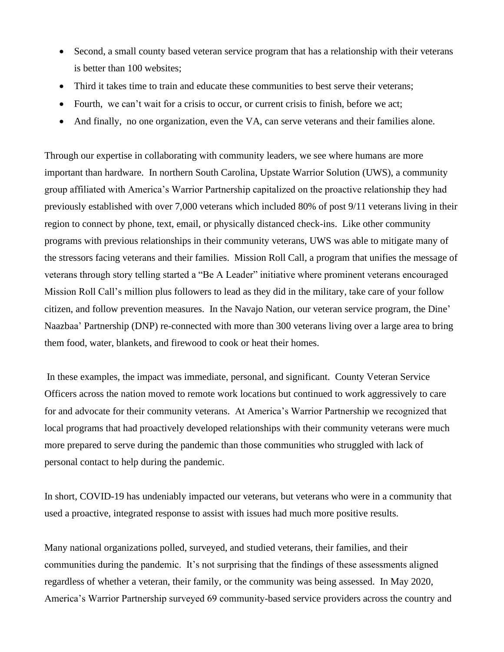- Second, a small county based veteran service program that has a relationship with their veterans is better than 100 websites;
- Third it takes time to train and educate these communities to best serve their veterans;
- Fourth, we can't wait for a crisis to occur, or current crisis to finish, before we act;
- And finally, no one organization, even the VA, can serve veterans and their families alone.

Through our expertise in collaborating with community leaders, we see where humans are more important than hardware. In northern South Carolina, Upstate Warrior Solution (UWS), a community group affiliated with America's Warrior Partnership capitalized on the proactive relationship they had previously established with over 7,000 veterans which included 80% of post 9/11 veterans living in their region to connect by phone, text, email, or physically distanced check-ins. Like other community programs with previous relationships in their community veterans, UWS was able to mitigate many of the stressors facing veterans and their families. Mission Roll Call, a program that unifies the message of veterans through story telling started a "Be A Leader" initiative where prominent veterans encouraged Mission Roll Call's million plus followers to lead as they did in the military, take care of your follow citizen, and follow prevention measures. In the Navajo Nation, our veteran service program, the Dine' Naazbaa' Partnership (DNP) re-connected with more than 300 veterans living over a large area to bring them food, water, blankets, and firewood to cook or heat their homes.

In these examples, the impact was immediate, personal, and significant. County Veteran Service Officers across the nation moved to remote work locations but continued to work aggressively to care for and advocate for their community veterans. At America's Warrior Partnership we recognized that local programs that had proactively developed relationships with their community veterans were much more prepared to serve during the pandemic than those communities who struggled with lack of personal contact to help during the pandemic.

In short, COVID-19 has undeniably impacted our veterans, but veterans who were in a community that used a proactive, integrated response to assist with issues had much more positive results.

Many national organizations polled, surveyed, and studied veterans, their families, and their communities during the pandemic. It's not surprising that the findings of these assessments aligned regardless of whether a veteran, their family, or the community was being assessed. In May 2020, America's Warrior Partnership surveyed 69 community-based service providers across the country and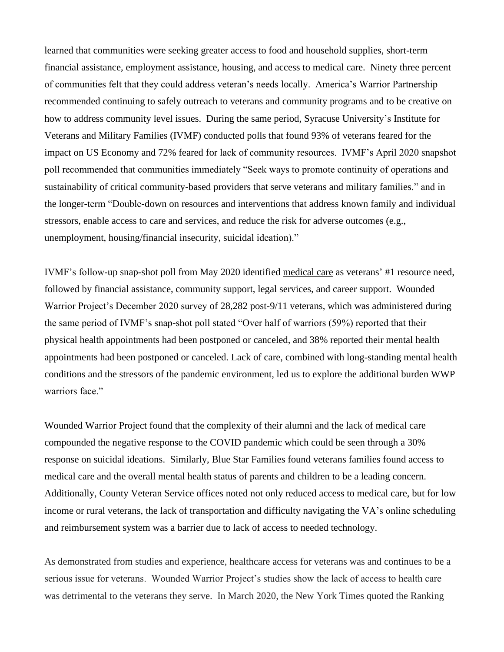learned that communities were seeking greater access to food and household supplies, short-term financial assistance, employment assistance, housing, and access to medical care. Ninety three percent of communities felt that they could address veteran's needs locally. America's Warrior Partnership recommended continuing to safely outreach to veterans and community programs and to be creative on how to address community level issues. During the same period, Syracuse University's Institute for Veterans and Military Families (IVMF) conducted polls that found 93% of veterans feared for the impact on US Economy and 72% feared for lack of community resources. IVMF's April 2020 snapshot poll recommended that communities immediately "Seek ways to promote continuity of operations and sustainability of critical community-based providers that serve veterans and military families." and in the longer-term "Double-down on resources and interventions that address known family and individual stressors, enable access to care and services, and reduce the risk for adverse outcomes (e.g., unemployment, housing/financial insecurity, suicidal ideation)."

IVMF's follow-up snap-shot poll from May 2020 identified medical care as veterans' #1 resource need, followed by financial assistance, community support, legal services, and career support. Wounded Warrior Project's December 2020 survey of 28,282 post-9/11 veterans, which was administered during the same period of IVMF's snap-shot poll stated "Over half of warriors (59%) reported that their physical health appointments had been postponed or canceled, and 38% reported their mental health appointments had been postponed or canceled. Lack of care, combined with long-standing mental health conditions and the stressors of the pandemic environment, led us to explore the additional burden WWP warriors face."

Wounded Warrior Project found that the complexity of their alumni and the lack of medical care compounded the negative response to the COVID pandemic which could be seen through a 30% response on suicidal ideations. Similarly, Blue Star Families found veterans families found access to medical care and the overall mental health status of parents and children to be a leading concern. Additionally, County Veteran Service offices noted not only reduced access to medical care, but for low income or rural veterans, the lack of transportation and difficulty navigating the VA's online scheduling and reimbursement system was a barrier due to lack of access to needed technology.

As demonstrated from studies and experience, healthcare access for veterans was and continues to be a serious issue for veterans. Wounded Warrior Project's studies show the lack of access to health care was detrimental to the veterans they serve. In March 2020, the New York Times quoted the Ranking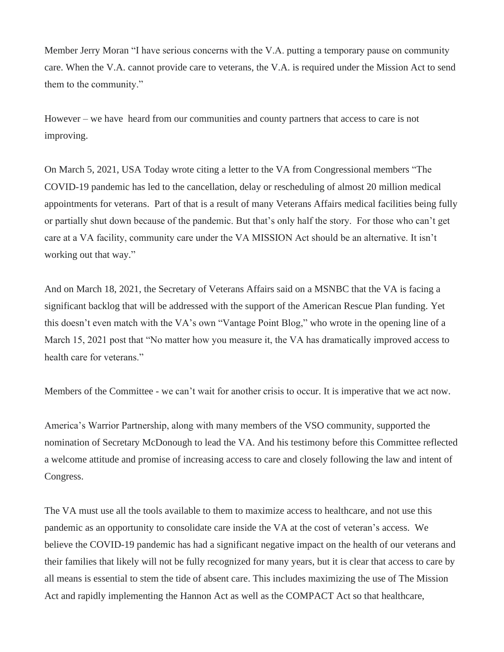Member Jerry Moran "I have serious concerns with the V.A. putting a temporary pause on community care. When the V.A. cannot provide care to veterans, the V.A. is required under the Mission Act to send them to the community."

However – we have heard from our communities and county partners that access to care is not improving.

On March 5, 2021, USA Today wrote citing a letter to the VA from Congressional members "The COVID-19 pandemic has led to the cancellation, delay or rescheduling of almost 20 million medical appointments for veterans. Part of that is a result of many Veterans Affairs medical facilities being fully or partially shut down because of the pandemic. But that's only half the story. For those who can't get care at a VA facility, community care under the VA MISSION Act should be an alternative. It isn't working out that way."

And on March 18, 2021, the Secretary of Veterans Affairs said on a MSNBC that the VA is facing a significant backlog that will be addressed with the support of the American Rescue Plan funding. Yet this doesn't even match with the VA's own "Vantage Point Blog," who wrote in the opening line of a March 15, 2021 post that "No matter how you measure it, the VA has dramatically improved access to health care for veterans."

Members of the Committee - we can't wait for another crisis to occur. It is imperative that we act now.

America's Warrior Partnership, along with many members of the VSO community, supported the nomination of Secretary McDonough to lead the VA. And his testimony before this Committee reflected a welcome attitude and promise of increasing access to care and closely following the law and intent of Congress.

The VA must use all the tools available to them to maximize access to healthcare, and not use this pandemic as an opportunity to consolidate care inside the VA at the cost of veteran's access. We believe the COVID-19 pandemic has had a significant negative impact on the health of our veterans and their families that likely will not be fully recognized for many years, but it is clear that access to care by all means is essential to stem the tide of absent care. This includes maximizing the use of The Mission Act and rapidly implementing the Hannon Act as well as the COMPACT Act so that healthcare,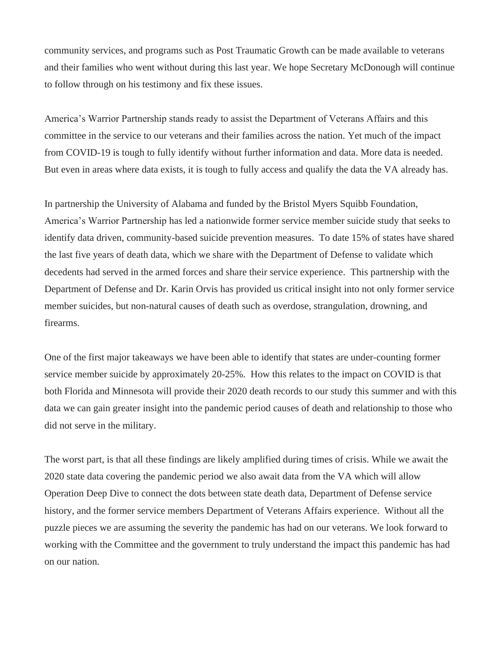community services, and programs such as Post Traumatic Growth can be made available to veterans and their families who went without during this last year. We hope Secretary McDonough will continue to follow through on his testimony and fix these issues.

America's Warrior Partnership stands ready to assist the Department of Veterans Affairs and this committee in the service to our veterans and their families across the nation. Yet much of the impact from COVID-19 is tough to fully identify without further information and data. More data is needed. But even in areas where data exists, it is tough to fully access and qualify the data the VA already has.

In partnership the University of Alabama and funded by the Bristol Myers Squibb Foundation, America's Warrior Partnership has led a nationwide former service member suicide study that seeks to identify data driven, community-based suicide prevention measures. To date 15% of states have shared the last five years of death data, which we share with the Department of Defense to validate which decedents had served in the armed forces and share their service experience. This partnership with the Department of Defense and Dr. Karin Orvis has provided us critical insight into not only former service member suicides, but non-natural causes of death such as overdose, strangulation, drowning, and firearms.

One of the first major takeaways we have been able to identify that states are under-counting former service member suicide by approximately 20-25%. How this relates to the impact on COVID is that both Florida and Minnesota will provide their 2020 death records to our study this summer and with this data we can gain greater insight into the pandemic period causes of death and relationship to those who did not serve in the military.

The worst part, is that all these findings are likely amplified during times of crisis. While we await the 2020 state data covering the pandemic period we also await data from the VA which will allow Operation Deep Dive to connect the dots between state death data, Department of Defense service history, and the former service members Department of Veterans Affairs experience. Without all the puzzle pieces we are assuming the severity the pandemic has had on our veterans. We look forward to working with the Committee and the government to truly understand the impact this pandemic has had on our nation.